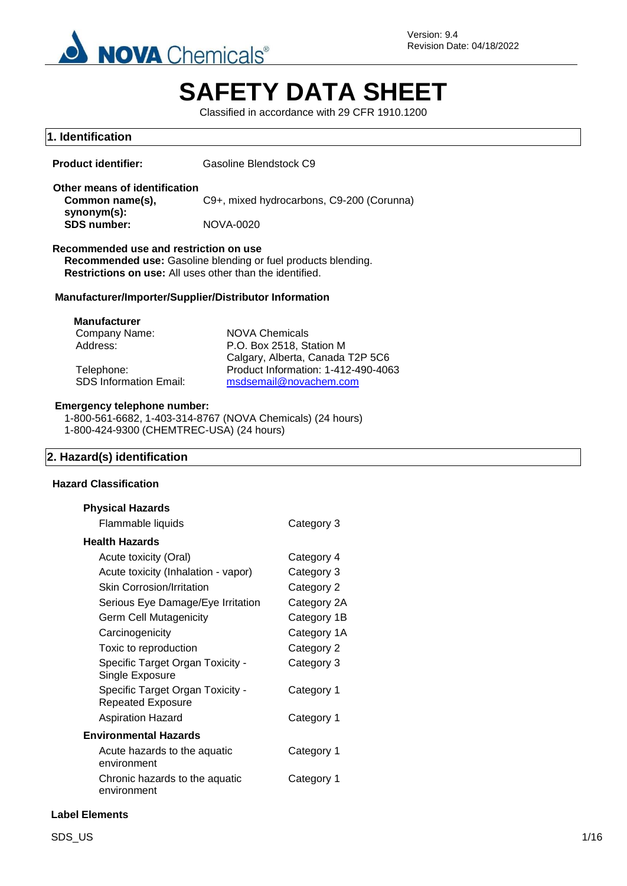

# **SAFETY DATA SHEET**

Classified in accordance with 29 CFR 1910.1200

Category 1

| 1. Identification                                                                                                                                                                                                                                                                                                                                                                              |                        |                                                                                                                                             |  |  |
|------------------------------------------------------------------------------------------------------------------------------------------------------------------------------------------------------------------------------------------------------------------------------------------------------------------------------------------------------------------------------------------------|------------------------|---------------------------------------------------------------------------------------------------------------------------------------------|--|--|
| <b>Product identifier:</b>                                                                                                                                                                                                                                                                                                                                                                     | Gasoline Blendstock C9 |                                                                                                                                             |  |  |
| Other means of identification<br>Common name(s),                                                                                                                                                                                                                                                                                                                                               |                        | C9+, mixed hydrocarbons, C9-200 (Corunna)                                                                                                   |  |  |
| synonym(s):<br><b>SDS number:</b>                                                                                                                                                                                                                                                                                                                                                              | <b>NOVA-0020</b>       |                                                                                                                                             |  |  |
| Recommended use and restriction on use<br>Recommended use: Gasoline blending or fuel products blending.<br>Restrictions on use: All uses other than the identified.                                                                                                                                                                                                                            |                        |                                                                                                                                             |  |  |
| Manufacturer/Importer/Supplier/Distributor Information                                                                                                                                                                                                                                                                                                                                         |                        |                                                                                                                                             |  |  |
| <b>Manufacturer</b><br>Company Name:<br>Address:<br>Telephone:<br><b>SDS Information Email:</b>                                                                                                                                                                                                                                                                                                | <b>NOVA Chemicals</b>  | P.O. Box 2518, Station M<br>Calgary, Alberta, Canada T2P 5C6<br>Product Information: 1-412-490-4063<br>msdsemail@novachem.com               |  |  |
| <b>Emergency telephone number:</b><br>1-800-561-6682, 1-403-314-8767 (NOVA Chemicals) (24 hours)<br>1-800-424-9300 (CHEMTREC-USA) (24 hours)                                                                                                                                                                                                                                                   |                        |                                                                                                                                             |  |  |
| 2. Hazard(s) identification                                                                                                                                                                                                                                                                                                                                                                    |                        |                                                                                                                                             |  |  |
| <b>Hazard Classification</b>                                                                                                                                                                                                                                                                                                                                                                   |                        |                                                                                                                                             |  |  |
| <b>Physical Hazards</b><br>Flammable liquids                                                                                                                                                                                                                                                                                                                                                   |                        | Category 3                                                                                                                                  |  |  |
| <b>Health Hazards</b><br>Acute toxicity (Oral)<br>Acute toxicity (Inhalation - vapor)<br><b>Skin Corrosion/Irritation</b><br>Serious Eye Damage/Eye Irritation<br><b>Germ Cell Mutagenicity</b><br>Carcinogenicity<br>Toxic to reproduction<br>Specific Target Organ Toxicity -<br>Single Exposure<br>Specific Target Organ Toxicity -<br><b>Repeated Exposure</b><br><b>Aspiration Hazard</b> |                        | Category 4<br>Category 3<br>Category 2<br>Category 2A<br>Category 1B<br>Category 1A<br>Category 2<br>Category 3<br>Category 1<br>Category 1 |  |  |
| <b>Environmental Hazards</b>                                                                                                                                                                                                                                                                                                                                                                   |                        |                                                                                                                                             |  |  |
| Acute hazards to the aquatic                                                                                                                                                                                                                                                                                                                                                                   |                        | Category 1                                                                                                                                  |  |  |

environment

Chronic hazards to the aquatic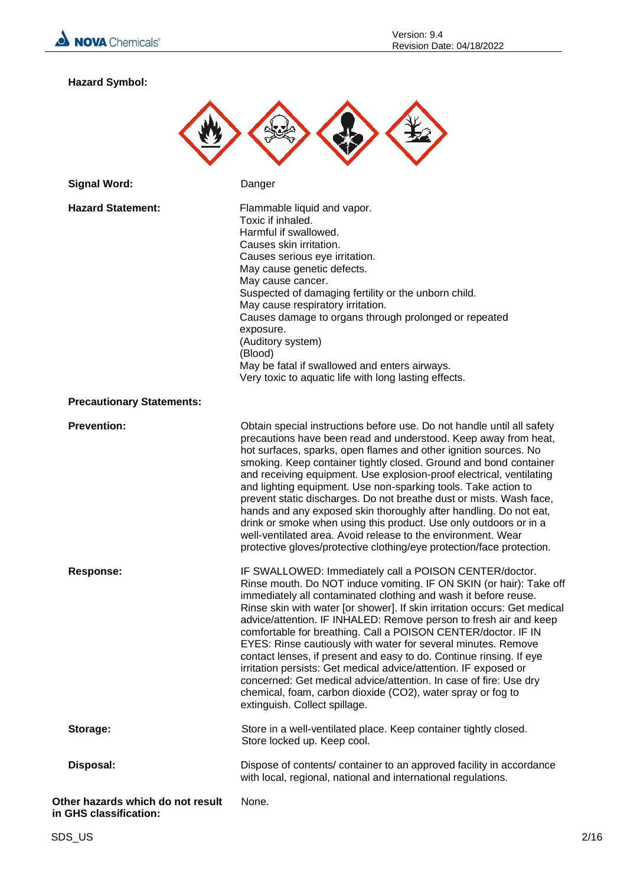

**Hazard Symbol:**



| <b>Signal Word:</b>                                         | Danger                                                                                                                                                                                                                                                                                                                                                                                                                                                                                                                                                                                                                                                                                                                                                                                               |
|-------------------------------------------------------------|------------------------------------------------------------------------------------------------------------------------------------------------------------------------------------------------------------------------------------------------------------------------------------------------------------------------------------------------------------------------------------------------------------------------------------------------------------------------------------------------------------------------------------------------------------------------------------------------------------------------------------------------------------------------------------------------------------------------------------------------------------------------------------------------------|
| <b>Hazard Statement:</b>                                    | Flammable liquid and vapor.<br>Toxic if inhaled.<br>Harmful if swallowed.<br>Causes skin irritation.<br>Causes serious eye irritation.<br>May cause genetic defects.<br>May cause cancer.<br>Suspected of damaging fertility or the unborn child.<br>May cause respiratory irritation.<br>Causes damage to organs through prolonged or repeated<br>exposure.<br>(Auditory system)<br>(Blood)<br>May be fatal if swallowed and enters airways.<br>Very toxic to aquatic life with long lasting effects.                                                                                                                                                                                                                                                                                               |
| <b>Precautionary Statements:</b>                            |                                                                                                                                                                                                                                                                                                                                                                                                                                                                                                                                                                                                                                                                                                                                                                                                      |
| <b>Prevention:</b>                                          | Obtain special instructions before use. Do not handle until all safety<br>precautions have been read and understood. Keep away from heat,<br>hot surfaces, sparks, open flames and other ignition sources. No<br>smoking. Keep container tightly closed. Ground and bond container<br>and receiving equipment. Use explosion-proof electrical, ventilating<br>and lighting equipment. Use non-sparking tools. Take action to<br>prevent static discharges. Do not breathe dust or mists. Wash face,<br>hands and any exposed skin thoroughly after handling. Do not eat,<br>drink or smoke when using this product. Use only outdoors or in a<br>well-ventilated area. Avoid release to the environment. Wear<br>protective gloves/protective clothing/eye protection/face protection.               |
| <b>Response:</b>                                            | IF SWALLOWED: Immediately call a POISON CENTER/doctor.<br>Rinse mouth. Do NOT induce vomiting. IF ON SKIN (or hair): Take off<br>immediately all contaminated clothing and wash it before reuse.<br>Rinse skin with water [or shower]. If skin irritation occurs: Get medical<br>advice/attention. IF INHALED: Remove person to fresh air and keep<br>comfortable for breathing. Call a POISON CENTER/doctor. IF IN<br>EYES: Rinse cautiously with water for several minutes. Remove<br>contact lenses, if present and easy to do. Continue rinsing. If eye<br>irritation persists: Get medical advice/attention. IF exposed or<br>concerned: Get medical advice/attention. In case of fire: Use dry<br>chemical, foam, carbon dioxide (CO2), water spray or fog to<br>extinguish. Collect spillage. |
| Storage:                                                    | Store in a well-ventilated place. Keep container tightly closed.<br>Store locked up. Keep cool.                                                                                                                                                                                                                                                                                                                                                                                                                                                                                                                                                                                                                                                                                                      |
| Disposal:                                                   | Dispose of contents/ container to an approved facility in accordance<br>with local, regional, national and international regulations.                                                                                                                                                                                                                                                                                                                                                                                                                                                                                                                                                                                                                                                                |
| Other hazards which do not result<br>in GHS classification: | None.                                                                                                                                                                                                                                                                                                                                                                                                                                                                                                                                                                                                                                                                                                                                                                                                |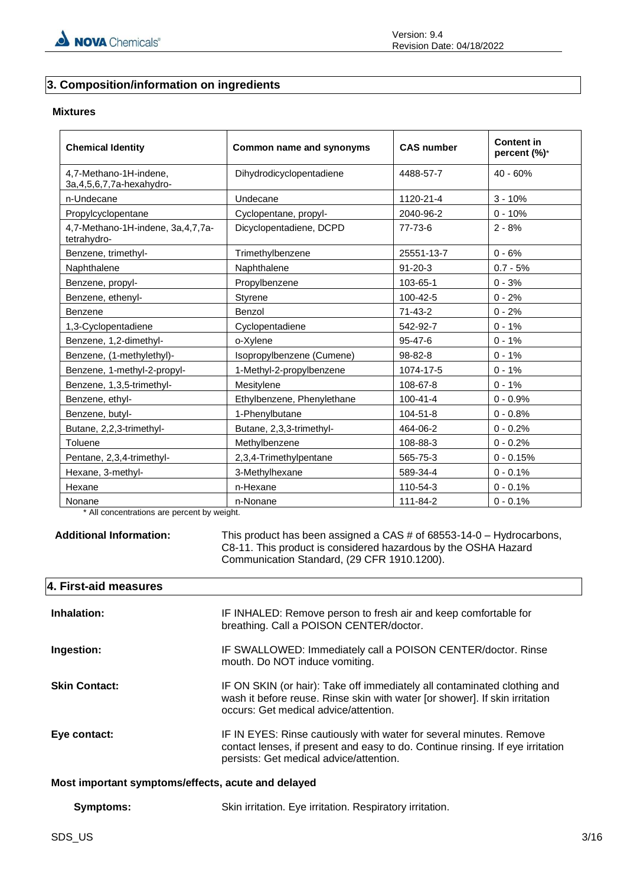#### **3. Composition/information on ingredients**

#### **Mixtures**

| <b>Chemical Identity</b>                                | Common name and synonyms   | <b>CAS number</b> | <b>Content in</b><br>percent (%)* |
|---------------------------------------------------------|----------------------------|-------------------|-----------------------------------|
| 4,7-Methano-1H-indene,<br>3a, 4, 5, 6, 7, 7a-hexahydro- | Dihydrodicyclopentadiene   | 4488-57-7         | 40 - 60%                          |
| n-Undecane                                              | Undecane                   | 1120-21-4         | $3 - 10%$                         |
| Propylcyclopentane                                      | Cyclopentane, propyl-      | 2040-96-2         | $0 - 10%$                         |
| 4,7-Methano-1H-indene, 3a, 4, 7, 7a-<br>tetrahydro-     | Dicyclopentadiene, DCPD    | 77-73-6           | $2 - 8%$                          |
| Benzene, trimethyl-                                     | Trimethylbenzene           | 25551-13-7        | $0 - 6%$                          |
| Naphthalene                                             | Naphthalene                | $91 - 20 - 3$     | $0.7 - 5%$                        |
| Benzene, propyl-                                        | Propylbenzene              | 103-65-1          | $0 - 3%$                          |
| Benzene, ethenyl-                                       | Styrene                    | 100-42-5          | $0 - 2%$                          |
| Benzene                                                 | Benzol                     | $71 - 43 - 2$     | $0 - 2%$                          |
| 1,3-Cyclopentadiene                                     | Cyclopentadiene            | 542-92-7          | $0 - 1%$                          |
| Benzene, 1,2-dimethyl-                                  | o-Xylene                   | $95 - 47 - 6$     | $0 - 1%$                          |
| Benzene, (1-methylethyl)-                               | Isopropylbenzene (Cumene)  | 98-82-8           | $0 - 1%$                          |
| Benzene, 1-methyl-2-propyl-                             | 1-Methyl-2-propylbenzene   | 1074-17-5         | $0 - 1%$                          |
| Benzene, 1,3,5-trimethyl-                               | Mesitylene                 | 108-67-8          | $0 - 1%$                          |
| Benzene, ethyl-                                         | Ethylbenzene, Phenylethane | $100 - 41 - 4$    | $0 - 0.9%$                        |
| Benzene, butyl-                                         | 1-Phenylbutane             | 104-51-8          | $0 - 0.8%$                        |
| Butane, 2,2,3-trimethyl-                                | Butane, 2,3,3-trimethyl-   | 464-06-2          | $0 - 0.2%$                        |
| Toluene                                                 | Methylbenzene              | 108-88-3          | $0 - 0.2%$                        |
| Pentane, 2,3,4-trimethyl-                               | 2,3,4-Trimethylpentane     | 565-75-3          | $0 - 0.15%$                       |
| Hexane, 3-methyl-                                       | 3-Methylhexane             | 589-34-4          | $0 - 0.1%$                        |
| Hexane                                                  | n-Hexane                   | 110-54-3          | $0 - 0.1%$                        |
| Nonane                                                  | n-Nonane                   | 111-84-2          | $0 - 0.1%$                        |

\* All concentrations are percent by weight.

**Additional Information:** This product has been assigned a CAS # of 68553-14-0 – Hydrocarbons, C8-11. This product is considered hazardous by the OSHA Hazard Communication Standard, (29 CFR 1910.1200).

#### **4. First-aid measures**

| Inhalation:                                        | IF INHALED: Remove person to fresh air and keep comfortable for<br>breathing. Call a POISON CENTER/doctor.                                                                                       |  |  |
|----------------------------------------------------|--------------------------------------------------------------------------------------------------------------------------------------------------------------------------------------------------|--|--|
| Ingestion:                                         | IF SWALLOWED: Immediately call a POISON CENTER/doctor. Rinse<br>mouth. Do NOT induce vomiting.                                                                                                   |  |  |
| <b>Skin Contact:</b>                               | IF ON SKIN (or hair): Take off immediately all contaminated clothing and<br>wash it before reuse. Rinse skin with water [or shower]. If skin irritation<br>occurs: Get medical advice/attention. |  |  |
| Eye contact:                                       | IF IN EYES: Rinse cautiously with water for several minutes. Remove<br>contact lenses, if present and easy to do. Continue rinsing. If eye irritation<br>persists: Get medical advice/attention. |  |  |
| Most important symptoms/effects, acute and delayed |                                                                                                                                                                                                  |  |  |

| Symptoms: | Skin irritation. Eye irritation. Respiratory irritation. |
|-----------|----------------------------------------------------------|
|-----------|----------------------------------------------------------|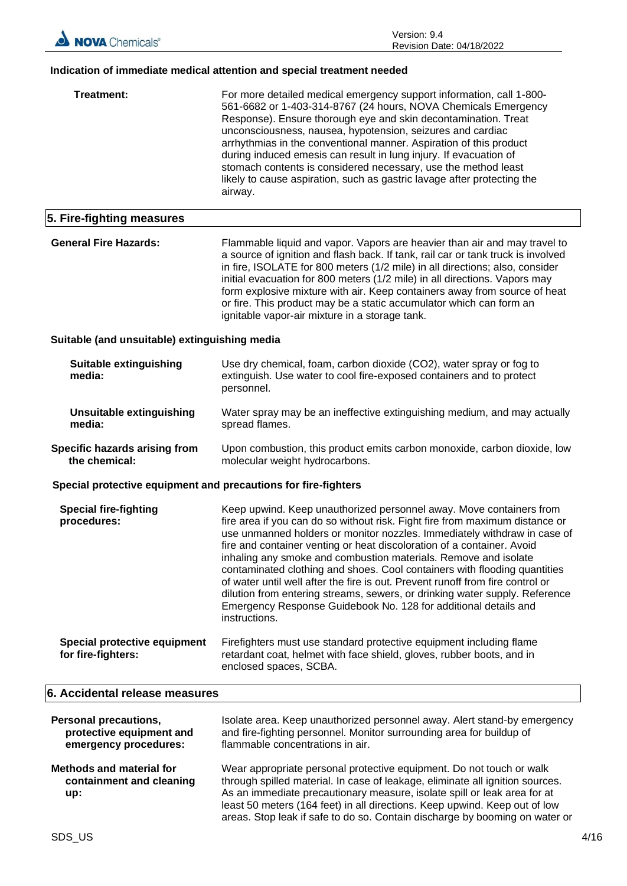#### **Indication of immediate medical attention and special treatment needed**

| Treatment:                                                     | For more detailed medical emergency support information, call 1-800-<br>561-6682 or 1-403-314-8767 (24 hours, NOVA Chemicals Emergency<br>Response). Ensure thorough eye and skin decontamination. Treat<br>unconsciousness, nausea, hypotension, seizures and cardiac<br>arrhythmias in the conventional manner. Aspiration of this product<br>during induced emesis can result in lung injury. If evacuation of<br>stomach contents is considered necessary, use the method least<br>likely to cause aspiration, such as gastric lavage after protecting the<br>airway.                                                                                                                                      |
|----------------------------------------------------------------|----------------------------------------------------------------------------------------------------------------------------------------------------------------------------------------------------------------------------------------------------------------------------------------------------------------------------------------------------------------------------------------------------------------------------------------------------------------------------------------------------------------------------------------------------------------------------------------------------------------------------------------------------------------------------------------------------------------|
| 5. Fire-fighting measures                                      |                                                                                                                                                                                                                                                                                                                                                                                                                                                                                                                                                                                                                                                                                                                |
| <b>General Fire Hazards:</b>                                   | Flammable liquid and vapor. Vapors are heavier than air and may travel to<br>a source of ignition and flash back. If tank, rail car or tank truck is involved<br>in fire, ISOLATE for 800 meters (1/2 mile) in all directions; also, consider<br>initial evacuation for 800 meters (1/2 mile) in all directions. Vapors may<br>form explosive mixture with air. Keep containers away from source of heat<br>or fire. This product may be a static accumulator which can form an<br>ignitable vapor-air mixture in a storage tank.                                                                                                                                                                              |
| Suitable (and unsuitable) extinguishing media                  |                                                                                                                                                                                                                                                                                                                                                                                                                                                                                                                                                                                                                                                                                                                |
| <b>Suitable extinguishing</b><br>media:                        | Use dry chemical, foam, carbon dioxide (CO2), water spray or fog to<br>extinguish. Use water to cool fire-exposed containers and to protect<br>personnel.                                                                                                                                                                                                                                                                                                                                                                                                                                                                                                                                                      |
| <b>Unsuitable extinguishing</b><br>media:                      | Water spray may be an ineffective extinguishing medium, and may actually<br>spread flames.                                                                                                                                                                                                                                                                                                                                                                                                                                                                                                                                                                                                                     |
| Specific hazards arising from<br>the chemical:                 | Upon combustion, this product emits carbon monoxide, carbon dioxide, low<br>molecular weight hydrocarbons.                                                                                                                                                                                                                                                                                                                                                                                                                                                                                                                                                                                                     |
| Special protective equipment and precautions for fire-fighters |                                                                                                                                                                                                                                                                                                                                                                                                                                                                                                                                                                                                                                                                                                                |
| <b>Special fire-fighting</b><br>procedures:                    | Keep upwind. Keep unauthorized personnel away. Move containers from<br>fire area if you can do so without risk. Fight fire from maximum distance or<br>use unmanned holders or monitor nozzles. Immediately withdraw in case of<br>fire and container venting or heat discoloration of a container. Avoid<br>inhaling any smoke and combustion materials. Remove and isolate<br>contaminated clothing and shoes. Cool containers with flooding quantities<br>of water until well after the fire is out. Prevent runoff from fire control or<br>dilution from entering streams, sewers, or drinking water supply. Reference<br>Emergency Response Guidebook No. 128 for additional details and<br>instructions. |
| Special protective equipment<br>for fire-fighters:             | Firefighters must use standard protective equipment including flame<br>retardant coat, helmet with face shield, gloves, rubber boots, and in<br>enclosed spaces, SCBA.                                                                                                                                                                                                                                                                                                                                                                                                                                                                                                                                         |
| 6. Accidental release measures                                 |                                                                                                                                                                                                                                                                                                                                                                                                                                                                                                                                                                                                                                                                                                                |
| <b>Personal precautions,</b>                                   | Isolate area. Keep unauthorized personnel away. Alert stand-by emergency                                                                                                                                                                                                                                                                                                                                                                                                                                                                                                                                                                                                                                       |

| protective equipment and                                           | and fire-fighting personnel. Monitor surrounding area for buildup of                                                                                                                                                                                                                                                                                                                           |
|--------------------------------------------------------------------|------------------------------------------------------------------------------------------------------------------------------------------------------------------------------------------------------------------------------------------------------------------------------------------------------------------------------------------------------------------------------------------------|
| emergency procedures:                                              | flammable concentrations in air.                                                                                                                                                                                                                                                                                                                                                               |
| <b>Methods and material for</b><br>containment and cleaning<br>up: | Wear appropriate personal protective equipment. Do not touch or walk<br>through spilled material. In case of leakage, eliminate all ignition sources.<br>As an immediate precautionary measure, isolate spill or leak area for at<br>least 50 meters (164 feet) in all directions. Keep upwind. Keep out of low<br>areas. Stop leak if safe to do so. Contain discharge by booming on water or |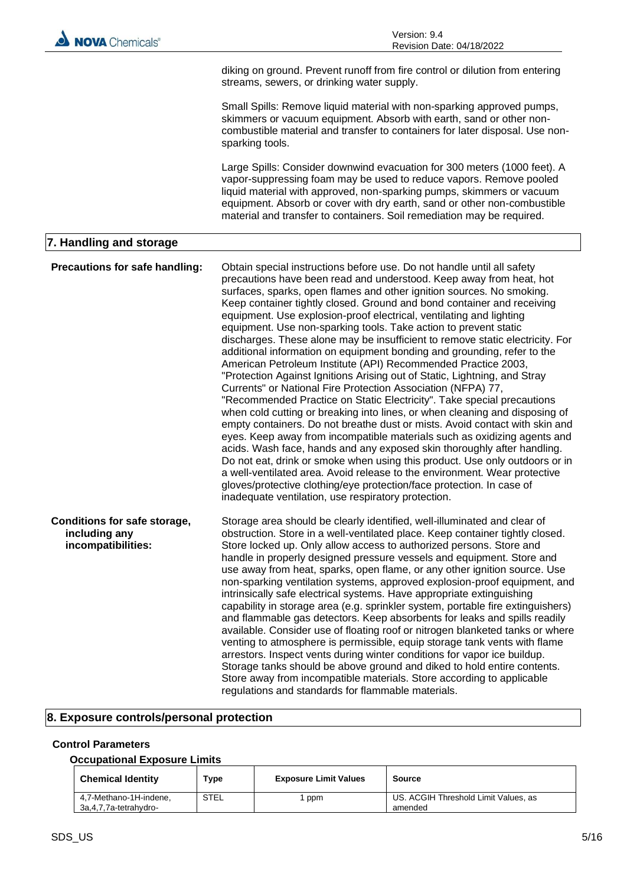

#### **8. Exposure controls/personal protection**

#### **Control Parameters**

#### **Occupational Exposure Limits**

| <b>Chemical Identity</b>                        | Type | <b>Exposure Limit Values</b> | Source                                          |
|-------------------------------------------------|------|------------------------------|-------------------------------------------------|
| 4,7-Methano-1H-indene,<br>3a,4,7,7a-tetrahydro- | STEL | ppm                          | US, ACGIH Threshold Limit Values, as<br>amended |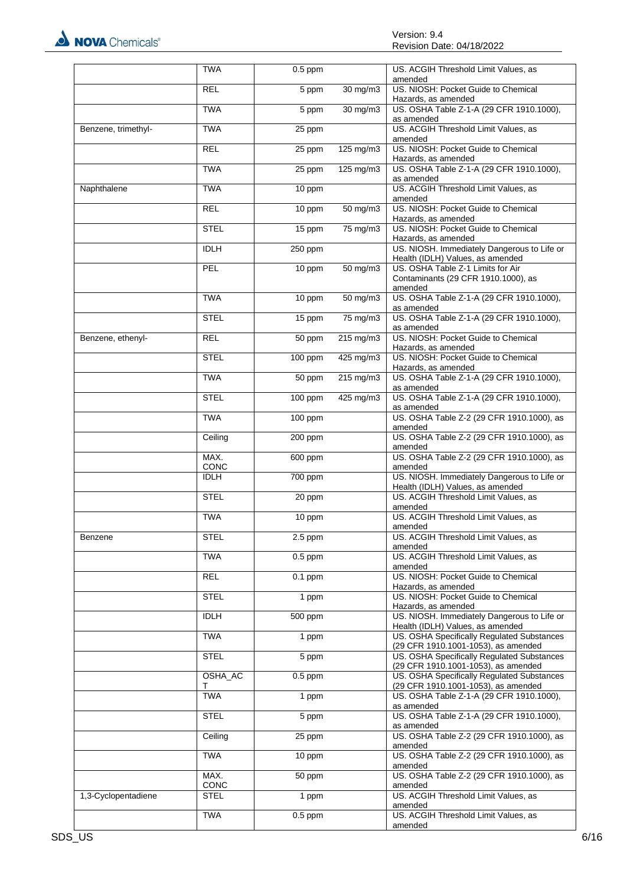

|                     | <b>TWA</b>   | $0.5$ ppm |                      | US. ACGIH Threshold Limit Values, as<br>amended                                     |
|---------------------|--------------|-----------|----------------------|-------------------------------------------------------------------------------------|
|                     | <b>REL</b>   | 5 ppm     | $30 \text{ mg/m}$    | US. NIOSH: Pocket Guide to Chemical<br>Hazards, as amended                          |
|                     | <b>TWA</b>   | 5 ppm     | 30 mg/m3             | US. OSHA Table Z-1-A (29 CFR 1910.1000),<br>as amended                              |
| Benzene, trimethyl- | <b>TWA</b>   | 25 ppm    |                      | US. ACGIH Threshold Limit Values, as<br>amended                                     |
|                     | <b>REL</b>   | 25 ppm    | 125 mg/m3            | US. NIOSH: Pocket Guide to Chemical<br>Hazards, as amended                          |
|                     | <b>TWA</b>   | 25 ppm    | 125 mg/m3            | US. OSHA Table Z-1-A (29 CFR 1910.1000),<br>as amended                              |
| Naphthalene         | <b>TWA</b>   | 10 ppm    |                      | US. ACGIH Threshold Limit Values, as<br>amended                                     |
|                     | <b>REL</b>   | 10 ppm    | 50 mg/m3             | US. NIOSH: Pocket Guide to Chemical<br>Hazards, as amended                          |
|                     | <b>STEL</b>  | 15 ppm    | 75 mg/m3             | US. NIOSH: Pocket Guide to Chemical<br>Hazards, as amended                          |
|                     | <b>IDLH</b>  | 250 ppm   |                      | US. NIOSH. Immediately Dangerous to Life or<br>Health (IDLH) Values, as amended     |
|                     | PEL          | 10 ppm    | $50$ mg/m3           | US. OSHA Table Z-1 Limits for Air<br>Contaminants (29 CFR 1910.1000), as<br>amended |
|                     | <b>TWA</b>   | 10 ppm    | $50 \text{ mg/m}$ 3  | US. OSHA Table Z-1-A (29 CFR 1910.1000),<br>as amended                              |
|                     | <b>STEL</b>  | 15 ppm    | 75 mg/m3             | US. OSHA Table Z-1-A (29 CFR 1910.1000),<br>as amended                              |
| Benzene, ethenyl-   | <b>REL</b>   | 50 ppm    | $215 \text{ mg/m}$   | US. NIOSH: Pocket Guide to Chemical<br>Hazards, as amended                          |
|                     | <b>STEL</b>  | 100 ppm   | $425 \text{ mg/m}$ 3 | US. NIOSH: Pocket Guide to Chemical<br>Hazards, as amended                          |
|                     | <b>TWA</b>   | 50 ppm    | $215 \text{ mg/m}$   | US. OSHA Table Z-1-A (29 CFR 1910.1000),<br>as amended                              |
|                     | <b>STEL</b>  | 100 ppm   | 425 mg/m3            | US. OSHA Table Z-1-A (29 CFR 1910.1000),<br>as amended                              |
|                     | <b>TWA</b>   | 100 ppm   |                      | US. OSHA Table Z-2 (29 CFR 1910.1000), as<br>amended                                |
|                     | Ceiling      | 200 ppm   |                      | US. OSHA Table Z-2 (29 CFR 1910.1000), as<br>amended                                |
|                     | MAX.<br>CONC | 600 ppm   |                      | US. OSHA Table Z-2 (29 CFR 1910.1000), as<br>amended                                |
|                     | <b>IDLH</b>  | 700 ppm   |                      | US. NIOSH. Immediately Dangerous to Life or<br>Health (IDLH) Values, as amended     |
|                     | <b>STEL</b>  | 20 ppm    |                      | US. ACGIH Threshold Limit Values, as<br>amended                                     |
|                     | <b>TWA</b>   | 10 ppm    |                      | US. ACGIH Threshold Limit Values, as<br>amended                                     |
| Benzene             | <b>STEL</b>  | $2.5$ ppm |                      | US. ACGIH Threshold Limit Values, as<br>amended                                     |
|                     | <b>TWA</b>   | $0.5$ ppm |                      | US. ACGIH Threshold Limit Values, as<br>amended                                     |
|                     | <b>REL</b>   | $0.1$ ppm |                      | US. NIOSH: Pocket Guide to Chemical<br>Hazards, as amended                          |
|                     | <b>STEL</b>  | 1 ppm     |                      | US. NIOSH: Pocket Guide to Chemical<br>Hazards, as amended                          |
|                     | <b>IDLH</b>  | 500 ppm   |                      | US. NIOSH. Immediately Dangerous to Life or<br>Health (IDLH) Values, as amended     |
|                     | <b>TWA</b>   | 1 ppm     |                      | US. OSHA Specifically Regulated Substances<br>(29 CFR 1910.1001-1053), as amended   |
|                     | <b>STEL</b>  | 5 ppm     |                      | US. OSHA Specifically Regulated Substances<br>(29 CFR 1910.1001-1053), as amended   |
|                     | OSHA_AC<br>т | $0.5$ ppm |                      | US. OSHA Specifically Regulated Substances<br>(29 CFR 1910.1001-1053), as amended   |
|                     | <b>TWA</b>   | 1 ppm     |                      | US. OSHA Table Z-1-A (29 CFR 1910.1000),<br>as amended                              |
|                     | <b>STEL</b>  | 5 ppm     |                      | US. OSHA Table Z-1-A (29 CFR 1910.1000),<br>as amended                              |
|                     | Ceiling      | 25 ppm    |                      | US. OSHA Table Z-2 (29 CFR 1910.1000), as<br>amended                                |
|                     | <b>TWA</b>   | 10 ppm    |                      | US. OSHA Table Z-2 (29 CFR 1910.1000), as<br>amended                                |
|                     | MAX.<br>CONC | 50 ppm    |                      | US. OSHA Table Z-2 (29 CFR 1910.1000), as<br>amended                                |
| 1,3-Cyclopentadiene | <b>STEL</b>  | 1 ppm     |                      | US. ACGIH Threshold Limit Values, as<br>amended                                     |
|                     | <b>TWA</b>   | $0.5$ ppm |                      | US. ACGIH Threshold Limit Values, as<br>amended                                     |
|                     |              |           |                      |                                                                                     |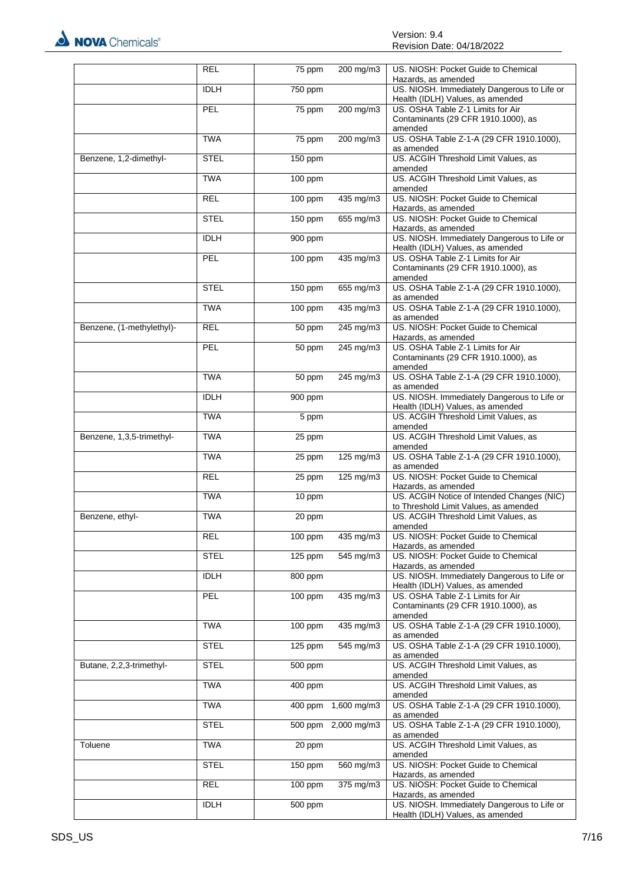

|                           | <b>REL</b>  | 75 ppm    | $200 \text{ mg/m}$ | US. NIOSH: Pocket Guide to Chemical<br>Hazards, as amended                          |
|---------------------------|-------------|-----------|--------------------|-------------------------------------------------------------------------------------|
|                           | <b>IDLH</b> | 750 ppm   |                    | US. NIOSH. Immediately Dangerous to Life or<br>Health (IDLH) Values, as amended     |
|                           | PEL         | 75 ppm    | 200 mg/m3          | US. OSHA Table Z-1 Limits for Air<br>Contaminants (29 CFR 1910.1000), as<br>amended |
|                           | <b>TWA</b>  | 75 ppm    | 200 mg/m3          | US. OSHA Table Z-1-A (29 CFR 1910.1000),<br>as amended                              |
| Benzene, 1,2-dimethyl-    | <b>STEL</b> | 150 ppm   |                    | US. ACGIH Threshold Limit Values, as<br>amended                                     |
|                           | <b>TWA</b>  | 100 ppm   |                    | US. ACGIH Threshold Limit Values, as<br>amended                                     |
|                           | <b>REL</b>  | 100 ppm   | $435 \text{ mg/m}$ | US. NIOSH: Pocket Guide to Chemical<br>Hazards, as amended                          |
|                           | <b>STEL</b> | 150 ppm   | 655 mg/m3          | US. NIOSH: Pocket Guide to Chemical<br>Hazards, as amended                          |
|                           | <b>IDLH</b> | 900 ppm   |                    | US. NIOSH. Immediately Dangerous to Life or<br>Health (IDLH) Values, as amended     |
|                           | PEL         | 100 ppm   | $435 \text{ mg/m}$ | US. OSHA Table Z-1 Limits for Air<br>Contaminants (29 CFR 1910.1000), as<br>amended |
|                           | <b>STEL</b> | 150 ppm   | 655 mg/m3          | US. OSHA Table Z-1-A (29 CFR 1910.1000),<br>as amended                              |
|                           | <b>TWA</b>  | 100 ppm   | 435 mg/m3          | US. OSHA Table Z-1-A (29 CFR 1910.1000),<br>as amended                              |
| Benzene, (1-methylethyl)- | <b>REL</b>  | 50 ppm    | 245 mg/m3          | US. NIOSH: Pocket Guide to Chemical<br>Hazards, as amended                          |
|                           | PEL         | 50 ppm    | 245 mg/m3          | US. OSHA Table Z-1 Limits for Air<br>Contaminants (29 CFR 1910.1000), as<br>amended |
|                           | <b>TWA</b>  | 50 ppm    | 245 mg/m3          | US. OSHA Table Z-1-A (29 CFR 1910.1000),<br>as amended                              |
|                           | <b>IDLH</b> | 900 ppm   |                    | US. NIOSH. Immediately Dangerous to Life or<br>Health (IDLH) Values, as amended     |
|                           | <b>TWA</b>  | 5 ppm     |                    | US. ACGIH Threshold Limit Values, as<br>amended                                     |
| Benzene, 1,3,5-trimethyl- | <b>TWA</b>  | 25 ppm    |                    | US. ACGIH Threshold Limit Values, as<br>amended                                     |
|                           | <b>TWA</b>  | 25 ppm    | 125 mg/m3          | US. OSHA Table Z-1-A (29 CFR 1910.1000),<br>as amended                              |
|                           | <b>REL</b>  | 25 ppm    | 125 mg/m3          | US. NIOSH: Pocket Guide to Chemical<br>Hazards, as amended                          |
|                           | <b>TWA</b>  | 10 ppm    |                    | US. ACGIH Notice of Intended Changes (NIC)<br>to Threshold Limit Values, as amended |
| Benzene, ethyl-           | <b>TWA</b>  | 20 ppm    |                    | US. ACGIH Threshold Limit Values, as<br>amended                                     |
|                           | <b>REL</b>  | 100 ppm   | 435 mg/m3          | US. NIOSH: Pocket Guide to Chemical<br>Hazards, as amended                          |
|                           | <b>STEL</b> | $125$ ppm | 545 mg/m3          | US. NIOSH: Pocket Guide to Chemical<br>Hazards, as amended                          |
|                           | <b>IDLH</b> | 800 ppm   |                    | US. NIOSH. Immediately Dangerous to Life or<br>Health (IDLH) Values, as amended     |
|                           | PEL         | 100 ppm   | 435 mg/m3          | US. OSHA Table Z-1 Limits for Air<br>Contaminants (29 CFR 1910.1000), as<br>amended |
|                           | <b>TWA</b>  | 100 ppm   | 435 mg/m3          | US. OSHA Table Z-1-A (29 CFR 1910.1000),<br>as amended                              |
|                           | <b>STEL</b> | $125$ ppm | 545 mg/m3          | US. OSHA Table Z-1-A (29 CFR 1910.1000),<br>as amended                              |
| Butane, 2,2,3-trimethyl-  | <b>STEL</b> | 500 ppm   |                    | US. ACGIH Threshold Limit Values, as<br>amended                                     |
|                           | <b>TWA</b>  | 400 ppm   |                    | US. ACGIH Threshold Limit Values, as<br>amended                                     |
|                           | <b>TWA</b>  | 400 ppm   | 1,600 mg/m3        | US. OSHA Table Z-1-A (29 CFR 1910.1000),<br>as amended                              |
|                           | <b>STEL</b> | 500 ppm   | $2,000$ mg/m3      | US. OSHA Table Z-1-A (29 CFR 1910.1000),<br>as amended                              |
| Toluene                   | <b>TWA</b>  | 20 ppm    |                    | US. ACGIH Threshold Limit Values, as<br>amended                                     |
|                           | <b>STEL</b> | 150 ppm   | 560 mg/m3          | US. NIOSH: Pocket Guide to Chemical<br>Hazards, as amended                          |
|                           | <b>REL</b>  | 100 ppm   | 375 mg/m3          | US. NIOSH: Pocket Guide to Chemical<br>Hazards, as amended                          |
|                           | <b>IDLH</b> | 500 ppm   |                    | US. NIOSH. Immediately Dangerous to Life or<br>Health (IDLH) Values, as amended     |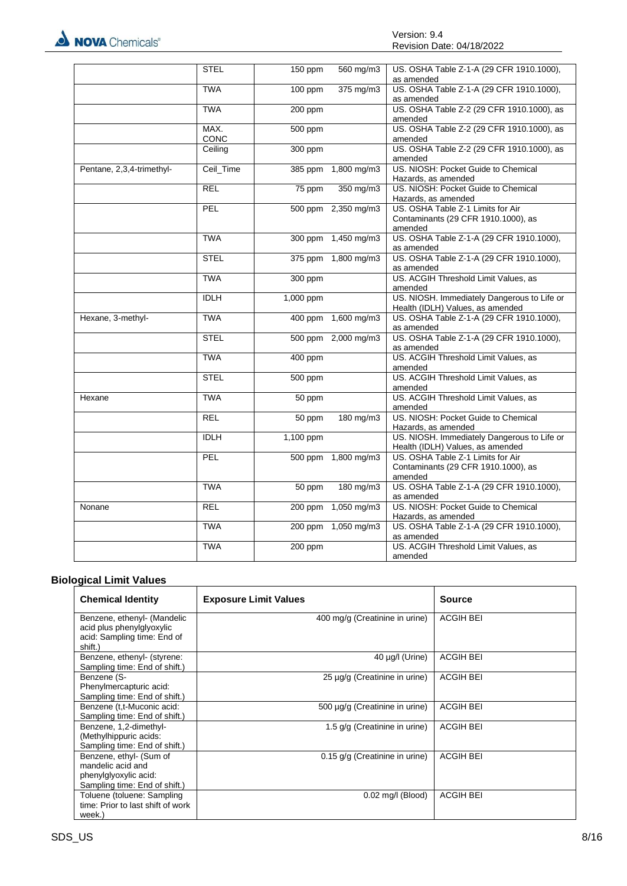

|                           | <b>STEL</b>  | 150 ppm   | 560 mg/m3           | US. OSHA Table Z-1-A (29 CFR 1910.1000),<br>as amended                              |
|---------------------------|--------------|-----------|---------------------|-------------------------------------------------------------------------------------|
|                           | <b>TWA</b>   | 100 ppm   | 375 mg/m3           | US. OSHA Table Z-1-A (29 CFR 1910.1000),<br>as amended                              |
|                           | <b>TWA</b>   | 200 ppm   |                     | US. OSHA Table Z-2 (29 CFR 1910.1000), as<br>amended                                |
|                           | MAX.<br>CONC | 500 ppm   |                     | US. OSHA Table Z-2 (29 CFR 1910.1000), as<br>amended                                |
|                           | Ceiling      | 300 ppm   |                     | US. OSHA Table Z-2 (29 CFR 1910.1000), as<br>amended                                |
| Pentane, 2,3,4-trimethyl- | Ceil_Time    |           | 385 ppm 1,800 mg/m3 | US. NIOSH: Pocket Guide to Chemical<br>Hazards, as amended                          |
|                           | <b>REL</b>   | 75 ppm    | 350 mg/m3           | US. NIOSH: Pocket Guide to Chemical<br>Hazards, as amended                          |
|                           | <b>PEL</b>   |           | 500 ppm 2,350 mg/m3 | US. OSHA Table Z-1 Limits for Air<br>Contaminants (29 CFR 1910.1000), as<br>amended |
|                           | <b>TWA</b>   |           | 300 ppm 1,450 mg/m3 | US. OSHA Table Z-1-A (29 CFR 1910.1000),<br>as amended                              |
|                           | <b>STEL</b>  |           | 375 ppm 1,800 mg/m3 | US. OSHA Table Z-1-A (29 CFR 1910.1000),<br>as amended                              |
|                           | <b>TWA</b>   | 300 ppm   |                     | US. ACGIH Threshold Limit Values, as<br>amended                                     |
|                           | <b>IDLH</b>  | 1,000 ppm |                     | US. NIOSH. Immediately Dangerous to Life or<br>Health (IDLH) Values, as amended     |
| Hexane, 3-methyl-         | <b>TWA</b>   |           | 400 ppm 1,600 mg/m3 | US. OSHA Table Z-1-A (29 CFR 1910.1000),<br>as amended                              |
|                           | <b>STEL</b>  |           | 500 ppm 2,000 mg/m3 | US. OSHA Table Z-1-A (29 CFR 1910.1000),<br>as amended                              |
|                           | <b>TWA</b>   | 400 ppm   |                     | US. ACGIH Threshold Limit Values, as<br>amended                                     |
|                           | <b>STEL</b>  | 500 ppm   |                     | US. ACGIH Threshold Limit Values, as<br>amended                                     |
| Hexane                    | <b>TWA</b>   | 50 ppm    |                     | US. ACGIH Threshold Limit Values, as<br>amended                                     |
|                           | <b>REL</b>   | 50 ppm    | 180 mg/m3           | US. NIOSH: Pocket Guide to Chemical<br>Hazards, as amended                          |
|                           | <b>IDLH</b>  | 1,100 ppm |                     | US. NIOSH. Immediately Dangerous to Life or<br>Health (IDLH) Values, as amended     |
|                           | PEL          |           | 500 ppm 1,800 mg/m3 | US. OSHA Table Z-1 Limits for Air<br>Contaminants (29 CFR 1910.1000), as<br>amended |
|                           | <b>TWA</b>   | 50 ppm    | 180 mg/m3           | US. OSHA Table Z-1-A (29 CFR 1910.1000),<br>as amended                              |
| Nonane                    | <b>REL</b>   | 200 ppm   | $1,050$ mg/m3       | US. NIOSH: Pocket Guide to Chemical<br>Hazards, as amended                          |
|                           | <b>TWA</b>   |           | 200 ppm 1,050 mg/m3 | US. OSHA Table Z-1-A (29 CFR 1910.1000),<br>as amended                              |
|                           | <b>TWA</b>   | 200 ppm   |                     | US. ACGIH Threshold Limit Values, as<br>amended                                     |

#### **Biological Limit Values**

| <b>Chemical Identity</b>                                                                               | <b>Exposure Limit Values</b>       | Source           |
|--------------------------------------------------------------------------------------------------------|------------------------------------|------------------|
| Benzene, ethenyl- (Mandelic<br>acid plus phenylglyoxylic<br>acid: Sampling time: End of<br>shift.)     | 400 mg/g (Creatinine in urine)     | <b>ACGIH BEI</b> |
| Benzene, ethenyl- (styrene:<br>Sampling time: End of shift.)                                           | 40 µg/l (Urine)                    | <b>ACGIH BEI</b> |
| Benzene (S-<br>Phenylmercapturic acid:<br>Sampling time: End of shift.)                                | $25 \mu g/g$ (Creatinine in urine) | <b>ACGIH BEI</b> |
| Benzene (t,t-Muconic acid:<br>Sampling time: End of shift.)                                            | 500 µg/g (Creatinine in urine)     | <b>ACGIH BEI</b> |
| Benzene, 1,2-dimethyl-<br>(Methylhippuric acids:<br>Sampling time: End of shift.)                      | 1.5 g/g (Creatinine in urine)      | <b>ACGIH BEI</b> |
| Benzene, ethyl- (Sum of<br>mandelic acid and<br>phenylglyoxylic acid:<br>Sampling time: End of shift.) | 0.15 g/g (Creatinine in urine)     | <b>ACGIH BEI</b> |
| Toluene (toluene: Sampling<br>time: Prior to last shift of work<br>week.)                              | $0.02$ mg/l (Blood)                | <b>ACGIH BEI</b> |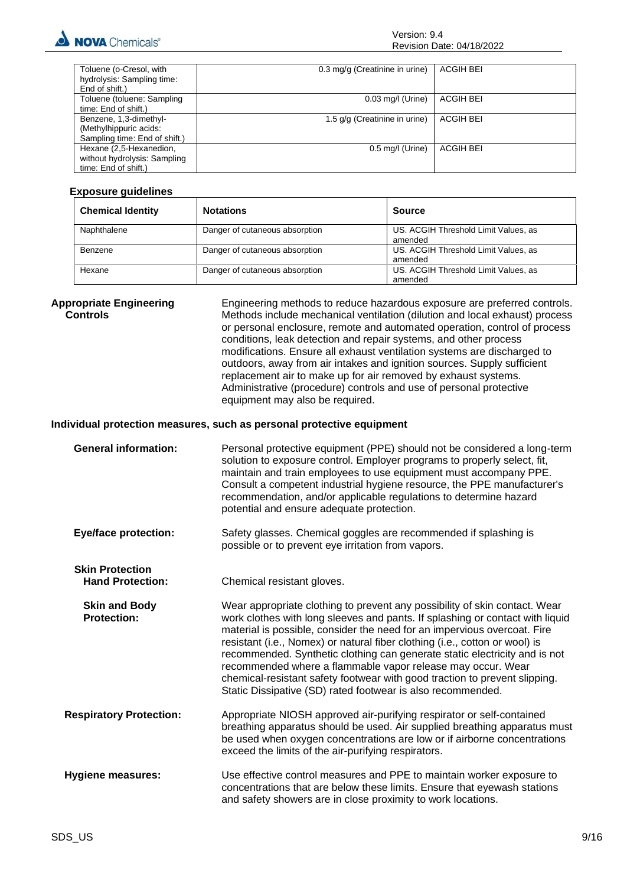

| Toluene (o-Cresol, with       | 0.3 mg/g (Creatinine in urine) | <b>ACGIH BEI</b> |
|-------------------------------|--------------------------------|------------------|
| hydrolysis: Sampling time:    |                                |                  |
| End of shift.)                |                                |                  |
| Toluene (toluene: Sampling    | $0.03$ mg/l (Urine)            | ACGIH BEI        |
| time: End of shift.)          |                                |                  |
| Benzene, 1,3-dimethyl-        | 1.5 g/g (Creatinine in urine)  | ACGIH BEI        |
| (Methylhippuric acids:        |                                |                  |
| Sampling time: End of shift.) |                                |                  |
| Hexane (2,5-Hexanedion,       | $0.5$ mg/l (Urine)             | <b>ACGIH BEI</b> |
| without hydrolysis: Sampling  |                                |                  |
| time: End of shift.)          |                                |                  |

#### **Exposure guidelines**

| <b>Chemical Identity</b> | <b>Notations</b>               | Source                                          |
|--------------------------|--------------------------------|-------------------------------------------------|
| Naphthalene              | Danger of cutaneous absorption | US. ACGIH Threshold Limit Values, as<br>amended |
| Benzene                  | Danger of cutaneous absorption | US. ACGIH Threshold Limit Values, as<br>amended |
| Hexane                   | Danger of cutaneous absorption | US. ACGIH Threshold Limit Values, as<br>amended |

**Appropriate Engineering Controls** Engineering methods to reduce hazardous exposure are preferred controls. Methods include mechanical ventilation (dilution and local exhaust) process or personal enclosure, remote and automated operation, control of process conditions, leak detection and repair systems, and other process modifications. Ensure all exhaust ventilation systems are discharged to outdoors, away from air intakes and ignition sources. Supply sufficient replacement air to make up for air removed by exhaust systems. Administrative (procedure) controls and use of personal protective equipment may also be required.

#### **Individual protection measures, such as personal protective equipment**

| <b>General information:</b> | Personal protective equipment (PPE) should not be considered a long-term<br>solution to exposure control. Employer programs to properly select, fit,<br>maintain and train employees to use equipment must accompany PPE.<br>Consult a competent industrial hygiene resource, the PPE manufacturer's<br>recommendation, and/or applicable regulations to determine hazard<br>potential and ensure adequate protection. |
|-----------------------------|------------------------------------------------------------------------------------------------------------------------------------------------------------------------------------------------------------------------------------------------------------------------------------------------------------------------------------------------------------------------------------------------------------------------|
|                             |                                                                                                                                                                                                                                                                                                                                                                                                                        |

**Eye/face protection:** Safety glasses. Chemical goggles are recommended if splashing is possible or to prevent eye irritation from vapors.

**Skin Protection Hand Protection:** Chemical resistant gloves.

**Skin and Body Protection:** Wear appropriate clothing to prevent any possibility of skin contact. Wear work clothes with long sleeves and pants. If splashing or contact with liquid material is possible, consider the need for an impervious overcoat. Fire resistant (i.e., Nomex) or natural fiber clothing (i.e., cotton or wool) is recommended. Synthetic clothing can generate static electricity and is not recommended where a flammable vapor release may occur. Wear chemical-resistant safety footwear with good traction to prevent slipping. Static Dissipative (SD) rated footwear is also recommended.

**Respiratory Protection:** Appropriate NIOSH approved air-purifying respirator or self-contained breathing apparatus should be used. Air supplied breathing apparatus must be used when oxygen concentrations are low or if airborne concentrations exceed the limits of the air-purifying respirators.

**Hygiene measures:** Use effective control measures and PPE to maintain worker exposure to concentrations that are below these limits. Ensure that eyewash stations and safety showers are in close proximity to work locations.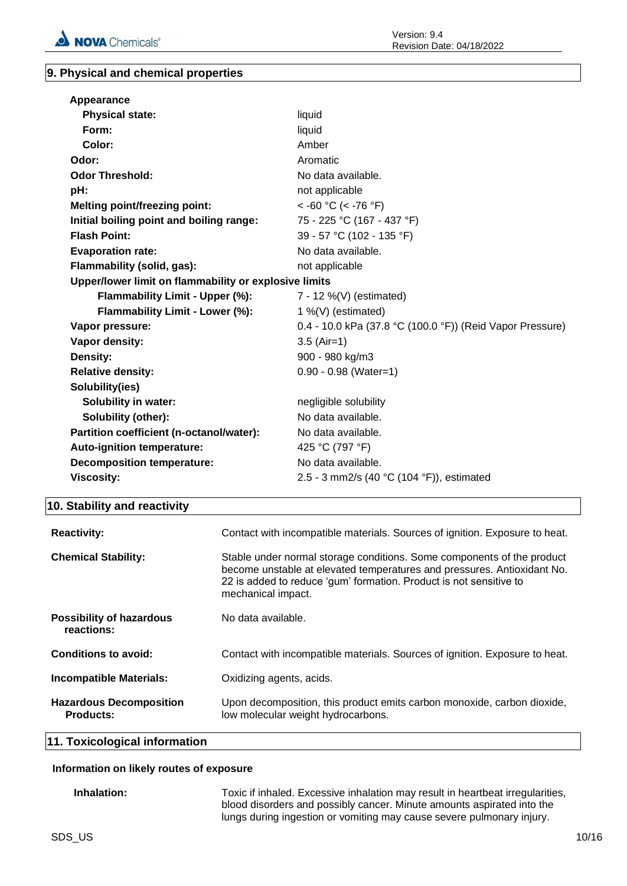

#### **9. Physical and chemical properties**

| Appearance                                            |                                                           |
|-------------------------------------------------------|-----------------------------------------------------------|
| <b>Physical state:</b>                                | liquid                                                    |
| Form:                                                 | liquid                                                    |
| Color:                                                | Amber                                                     |
| Odor:                                                 | Aromatic                                                  |
| <b>Odor Threshold:</b>                                | No data available.                                        |
| pH:                                                   | not applicable                                            |
| <b>Melting point/freezing point:</b>                  | $<$ -60 °C (< -76 °F)                                     |
| Initial boiling point and boiling range:              | 75 - 225 °C (167 - 437 °F)                                |
| <b>Flash Point:</b>                                   | 39 - 57 °C (102 - 135 °F)                                 |
| <b>Evaporation rate:</b>                              | No data available.                                        |
| Flammability (solid, gas):                            | not applicable                                            |
| Upper/lower limit on flammability or explosive limits |                                                           |
| Flammability Limit - Upper (%):                       | 7 - 12 %(V) (estimated)                                   |
| Flammability Limit - Lower (%):                       | 1 %(V) (estimated)                                        |
| Vapor pressure:                                       | 0.4 - 10.0 kPa (37.8 °C (100.0 °F)) (Reid Vapor Pressure) |
| Vapor density:                                        | $3.5$ (Air=1)                                             |
| Density:                                              | 900 - 980 kg/m3                                           |
| <b>Relative density:</b>                              | $0.90 - 0.98$ (Water=1)                                   |
| Solubility(ies)                                       |                                                           |
| <b>Solubility in water:</b>                           | negligible solubility                                     |
| Solubility (other):                                   | No data available.                                        |
| Partition coefficient (n-octanol/water):              | No data available.                                        |
| Auto-ignition temperature:                            | 425 °C (797 °F)                                           |
| <b>Decomposition temperature:</b>                     | No data available.                                        |
| <b>Viscosity:</b>                                     | 2.5 - 3 mm2/s (40 °C (104 °F)), estimated                 |

#### **10. Stability and reactivity**

| <b>Reactivity:</b>                                 | Contact with incompatible materials. Sources of ignition. Exposure to heat.                                                                                                                                                                   |
|----------------------------------------------------|-----------------------------------------------------------------------------------------------------------------------------------------------------------------------------------------------------------------------------------------------|
| <b>Chemical Stability:</b>                         | Stable under normal storage conditions. Some components of the product<br>become unstable at elevated temperatures and pressures. Antioxidant No.<br>22 is added to reduce 'gum' formation. Product is not sensitive to<br>mechanical impact. |
| <b>Possibility of hazardous</b><br>reactions:      | No data available.                                                                                                                                                                                                                            |
| Conditions to avoid:                               | Contact with incompatible materials. Sources of ignition. Exposure to heat.                                                                                                                                                                   |
| <b>Incompatible Materials:</b>                     | Oxidizing agents, acids.                                                                                                                                                                                                                      |
| <b>Hazardous Decomposition</b><br><b>Products:</b> | Upon decomposition, this product emits carbon monoxide, carbon dioxide,<br>low molecular weight hydrocarbons.                                                                                                                                 |

**11. Toxicological information**

#### **Information on likely routes of exposure**

**Inhalation:** Toxic if inhaled. Excessive inhalation may result in heartbeat irregularities, blood disorders and possibly cancer. Minute amounts aspirated into the lungs during ingestion or vomiting may cause severe pulmonary injury.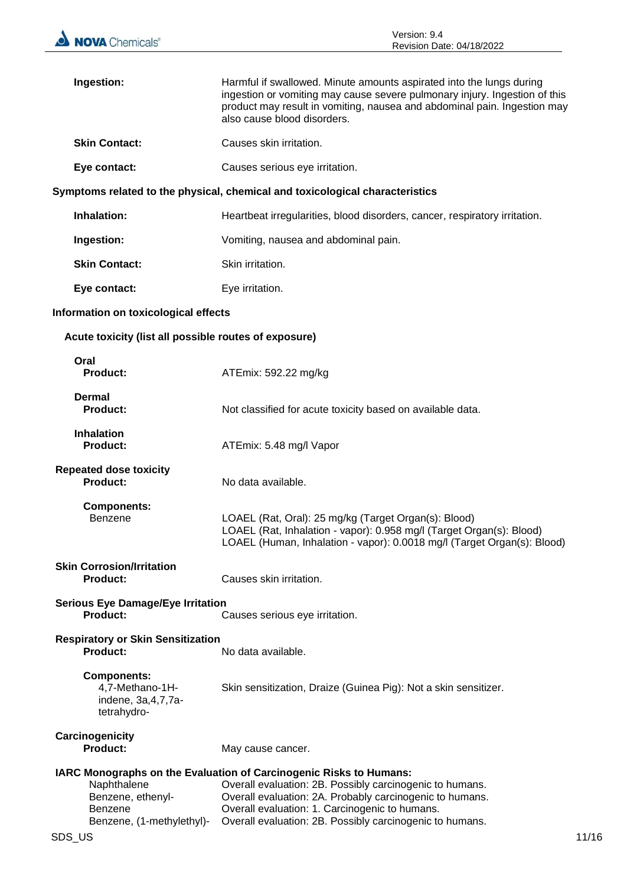| Ingestion:                                                                      | Harmful if swallowed. Minute amounts aspirated into the lungs during<br>ingestion or vomiting may cause severe pulmonary injury. Ingestion of this<br>product may result in vomiting, nausea and abdominal pain. Ingestion may<br>also cause blood disorders.                                            |  |
|---------------------------------------------------------------------------------|----------------------------------------------------------------------------------------------------------------------------------------------------------------------------------------------------------------------------------------------------------------------------------------------------------|--|
| <b>Skin Contact:</b>                                                            | Causes skin irritation.                                                                                                                                                                                                                                                                                  |  |
| Eye contact:                                                                    | Causes serious eye irritation.                                                                                                                                                                                                                                                                           |  |
|                                                                                 | Symptoms related to the physical, chemical and toxicological characteristics                                                                                                                                                                                                                             |  |
| Inhalation:                                                                     | Heartbeat irregularities, blood disorders, cancer, respiratory irritation.                                                                                                                                                                                                                               |  |
| Ingestion:                                                                      | Vomiting, nausea and abdominal pain.                                                                                                                                                                                                                                                                     |  |
| <b>Skin Contact:</b>                                                            | Skin irritation.                                                                                                                                                                                                                                                                                         |  |
| Eye contact:                                                                    | Eye irritation.                                                                                                                                                                                                                                                                                          |  |
| Information on toxicological effects                                            |                                                                                                                                                                                                                                                                                                          |  |
| Acute toxicity (list all possible routes of exposure)                           |                                                                                                                                                                                                                                                                                                          |  |
| Oral<br><b>Product:</b>                                                         | ATEmix: 592.22 mg/kg                                                                                                                                                                                                                                                                                     |  |
| Dermal<br><b>Product:</b>                                                       | Not classified for acute toxicity based on available data.                                                                                                                                                                                                                                               |  |
| <b>Inhalation</b><br><b>Product:</b>                                            | ATEmix: 5.48 mg/l Vapor                                                                                                                                                                                                                                                                                  |  |
| <b>Repeated dose toxicity</b><br><b>Product:</b>                                | No data available.                                                                                                                                                                                                                                                                                       |  |
| <b>Components:</b><br>Benzene                                                   | LOAEL (Rat, Oral): 25 mg/kg (Target Organ(s): Blood)<br>LOAEL (Rat, Inhalation - vapor): 0.958 mg/l (Target Organ(s): Blood)<br>LOAEL (Human, Inhalation - vapor): 0.0018 mg/l (Target Organ(s): Blood)                                                                                                  |  |
| <b>Skin Corrosion/Irritation</b><br><b>Product:</b>                             | Causes skin irritation.                                                                                                                                                                                                                                                                                  |  |
| <b>Serious Eye Damage/Eye Irritation</b><br><b>Product:</b>                     | Causes serious eye irritation.                                                                                                                                                                                                                                                                           |  |
| <b>Respiratory or Skin Sensitization</b><br>Product:                            | No data available.                                                                                                                                                                                                                                                                                       |  |
| <b>Components:</b><br>4,7-Methano-1H-<br>indene, 3a, 4, 7, 7a-<br>tetrahydro-   | Skin sensitization, Draize (Guinea Pig): Not a skin sensitizer.                                                                                                                                                                                                                                          |  |
| Carcinogenicity<br><b>Product:</b>                                              | May cause cancer.                                                                                                                                                                                                                                                                                        |  |
| Naphthalene<br>Benzene, ethenyl-<br><b>Benzene</b><br>Benzene, (1-methylethyl)- | IARC Monographs on the Evaluation of Carcinogenic Risks to Humans:<br>Overall evaluation: 2B. Possibly carcinogenic to humans.<br>Overall evaluation: 2A. Probably carcinogenic to humans.<br>Overall evaluation: 1. Carcinogenic to humans.<br>Overall evaluation: 2B. Possibly carcinogenic to humans. |  |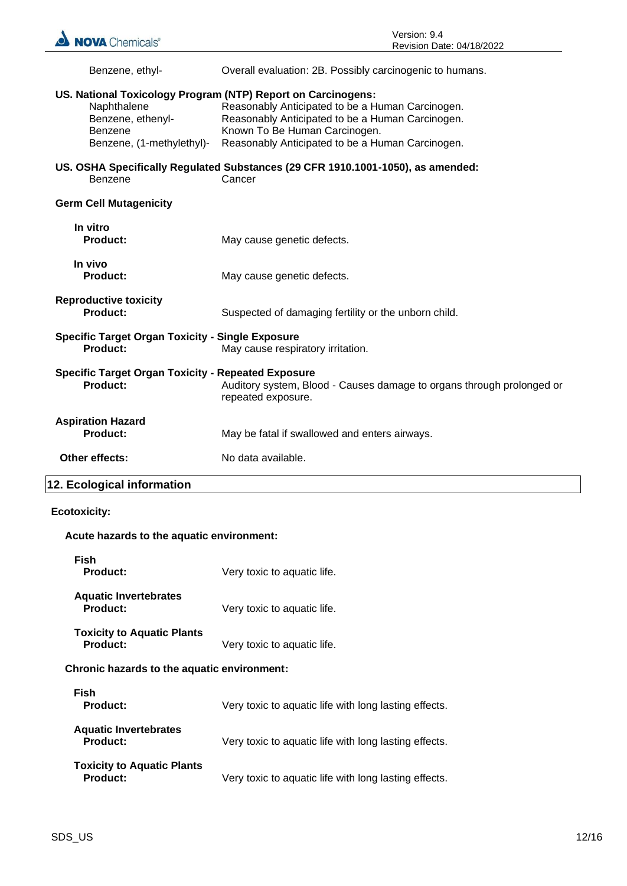| Benzene, ethyl-                                                                                                                          | Overall evaluation: 2B. Possibly carcinogenic to humans.                                                                                                                                  |  |
|------------------------------------------------------------------------------------------------------------------------------------------|-------------------------------------------------------------------------------------------------------------------------------------------------------------------------------------------|--|
| US. National Toxicology Program (NTP) Report on Carcinogens:<br>Naphthalene<br>Benzene, ethenyl-<br>Benzene<br>Benzene, (1-methylethyl)- | Reasonably Anticipated to be a Human Carcinogen.<br>Reasonably Anticipated to be a Human Carcinogen.<br>Known To Be Human Carcinogen.<br>Reasonably Anticipated to be a Human Carcinogen. |  |
| Benzene                                                                                                                                  | US. OSHA Specifically Regulated Substances (29 CFR 1910.1001-1050), as amended:<br>Cancer                                                                                                 |  |
| <b>Germ Cell Mutagenicity</b>                                                                                                            |                                                                                                                                                                                           |  |
| In vitro<br><b>Product:</b>                                                                                                              | May cause genetic defects.                                                                                                                                                                |  |
| In vivo<br><b>Product:</b>                                                                                                               | May cause genetic defects.                                                                                                                                                                |  |
| <b>Reproductive toxicity</b><br><b>Product:</b>                                                                                          | Suspected of damaging fertility or the unborn child.                                                                                                                                      |  |
| <b>Specific Target Organ Toxicity - Single Exposure</b><br>Product:                                                                      | May cause respiratory irritation.                                                                                                                                                         |  |
| <b>Specific Target Organ Toxicity - Repeated Exposure</b><br><b>Product:</b>                                                             | Auditory system, Blood - Causes damage to organs through prolonged or<br>repeated exposure.                                                                                               |  |
| <b>Aspiration Hazard</b><br><b>Product:</b>                                                                                              | May be fatal if swallowed and enters airways.                                                                                                                                             |  |
| Other effects:                                                                                                                           | No data available.                                                                                                                                                                        |  |

## **12. Ecological information**

#### **Ecotoxicity:**

#### **Acute hazards to the aquatic environment:**

| <b>Fish</b><br>Product:                              | Very toxic to aquatic life.                           |  |
|------------------------------------------------------|-------------------------------------------------------|--|
| <b>Aquatic Invertebrates</b><br>Product:             | Very toxic to aquatic life.                           |  |
| <b>Toxicity to Aquatic Plants</b><br>Product:        | Very toxic to aquatic life.                           |  |
| <b>Chronic hazards to the aquatic environment:</b>   |                                                       |  |
| Fish<br><b>Product:</b>                              | Very toxic to aquatic life with long lasting effects. |  |
| <b>Aquatic Invertebrates</b><br><b>Product:</b>      | Very toxic to aquatic life with long lasting effects. |  |
| <b>Toxicity to Aquatic Plants</b><br><b>Product:</b> | Very toxic to aquatic life with long lasting effects. |  |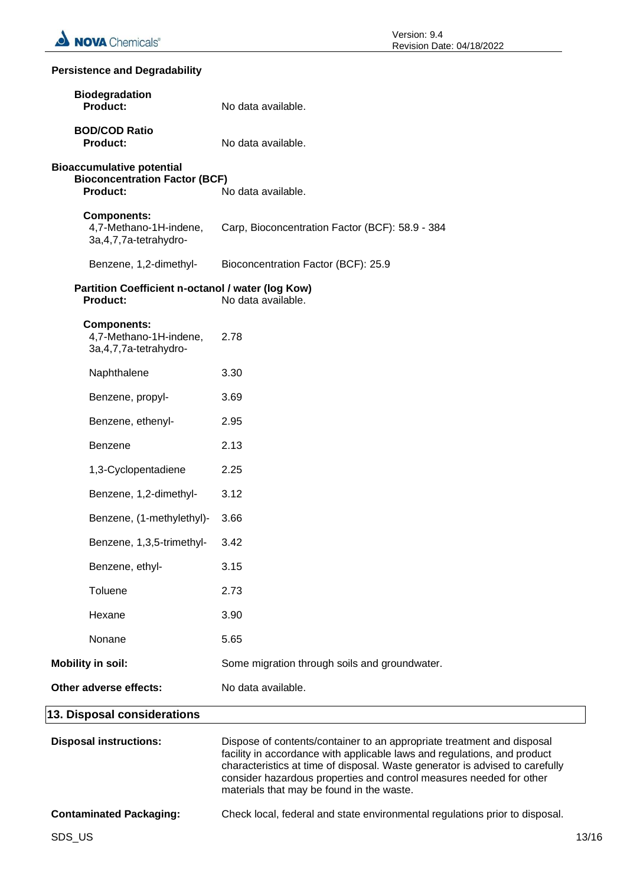#### **Persistence and Degradability**

| <b>Biodegradation</b><br><b>Product:</b>                                                    | No data available.                                                                                                                                                                                                                 |
|---------------------------------------------------------------------------------------------|------------------------------------------------------------------------------------------------------------------------------------------------------------------------------------------------------------------------------------|
| <b>BOD/COD Ratio</b><br><b>Product:</b>                                                     | No data available.                                                                                                                                                                                                                 |
| <b>Bioaccumulative potential</b><br><b>Bioconcentration Factor (BCF)</b><br><b>Product:</b> | No data available.                                                                                                                                                                                                                 |
| <b>Components:</b><br>4,7-Methano-1H-indene,<br>3a, 4, 7, 7a-tetrahydro-                    | Carp, Bioconcentration Factor (BCF): 58.9 - 384                                                                                                                                                                                    |
| Benzene, 1,2-dimethyl-                                                                      | Bioconcentration Factor (BCF): 25.9                                                                                                                                                                                                |
| Partition Coefficient n-octanol / water (log Kow)<br>No data available.<br><b>Product:</b>  |                                                                                                                                                                                                                                    |
| <b>Components:</b><br>4,7-Methano-1H-indene,<br>3a, 4, 7, 7a-tetrahydro-                    | 2.78                                                                                                                                                                                                                               |
| Naphthalene                                                                                 | 3.30                                                                                                                                                                                                                               |
| Benzene, propyl-                                                                            | 3.69                                                                                                                                                                                                                               |
| Benzene, ethenyl-                                                                           | 2.95                                                                                                                                                                                                                               |
| Benzene                                                                                     | 2.13                                                                                                                                                                                                                               |
| 1,3-Cyclopentadiene                                                                         | 2.25                                                                                                                                                                                                                               |
| Benzene, 1,2-dimethyl-                                                                      | 3.12                                                                                                                                                                                                                               |
| Benzene, (1-methylethyl)-                                                                   | 3.66                                                                                                                                                                                                                               |
| Benzene, 1,3,5-trimethyl-                                                                   | 3.42                                                                                                                                                                                                                               |
| Benzene, ethyl-                                                                             | 3.15                                                                                                                                                                                                                               |
| Toluene                                                                                     | 2.73                                                                                                                                                                                                                               |
| Hexane                                                                                      | 3.90                                                                                                                                                                                                                               |
| Nonane                                                                                      | 5.65                                                                                                                                                                                                                               |
| <b>Mobility in soil:</b>                                                                    | Some migration through soils and groundwater.                                                                                                                                                                                      |
| Other adverse effects:                                                                      | No data available.                                                                                                                                                                                                                 |
| 13. Disposal considerations                                                                 |                                                                                                                                                                                                                                    |
| <b>Disposal instructions:</b>                                                               | Dispose of contents/container to an appropriate treatment and disposal<br>facility in accordance with applicable laws and regulations, and product<br>characteristics at time of disposal. Waste generator is advised to carefully |

materials that may be found in the waste.

consider hazardous properties and control measures needed for other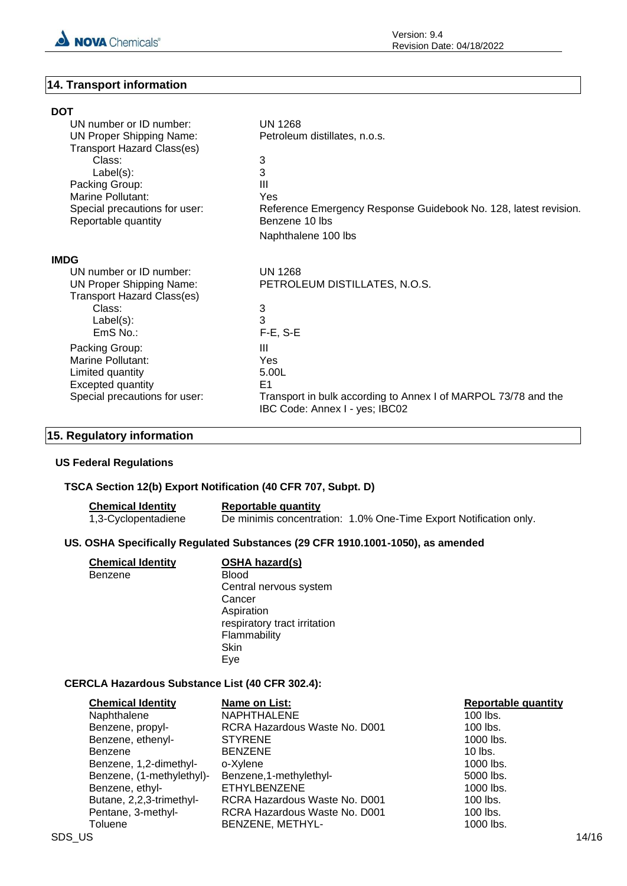

#### **14. Transport information**

| <b>DOT</b>                                           |                                                                                                  |
|------------------------------------------------------|--------------------------------------------------------------------------------------------------|
| UN number or ID number:                              | <b>UN 1268</b>                                                                                   |
| <b>UN Proper Shipping Name:</b>                      | Petroleum distillates, n.o.s.                                                                    |
| <b>Transport Hazard Class(es)</b>                    |                                                                                                  |
| Class:                                               | 3                                                                                                |
| $Label(s)$ :                                         | 3                                                                                                |
| Packing Group:                                       | Ш                                                                                                |
| Marine Pollutant:                                    | Yes                                                                                              |
| Special precautions for user:<br>Reportable quantity | Reference Emergency Response Guidebook No. 128, latest revision.<br>Benzene 10 lbs               |
|                                                      | Naphthalene 100 lbs                                                                              |
| <b>IMDG</b>                                          |                                                                                                  |
| UN number or ID number:                              | <b>UN 1268</b>                                                                                   |
| <b>UN Proper Shipping Name:</b>                      | PETROLEUM DISTILLATES, N.O.S.                                                                    |
| <b>Transport Hazard Class(es)</b>                    |                                                                                                  |
| Class:                                               | 3                                                                                                |
| $Label(s)$ :                                         | 3                                                                                                |
| $EmS$ No.:                                           | $F-E$ , S-E                                                                                      |
| Packing Group:                                       | Ш                                                                                                |
| Marine Pollutant:                                    | <b>Yes</b>                                                                                       |
| Limited quantity                                     | 5.00L                                                                                            |
| <b>Excepted quantity</b>                             | E1                                                                                               |
| Special precautions for user:                        | Transport in bulk according to Annex I of MARPOL 73/78 and the<br>IBC Code: Annex I - yes; IBC02 |

#### **15. Regulatory information**

#### **US Federal Regulations**

#### **TSCA Section 12(b) Export Notification (40 CFR 707, Subpt. D)**

| <b>Chemical Identity</b> | Reportable quantity |                                                                   |
|--------------------------|---------------------|-------------------------------------------------------------------|
| 1,3-Cyclopentadiene      |                     | De minimis concentration: 1.0% One-Time Export Notification only. |

#### **US. OSHA Specifically Regulated Substances (29 CFR 1910.1001-1050), as amended**

| <b>Chemical Identity</b><br>Benzene | <b>OSHA hazard(s)</b><br><b>Blood</b><br>Central nervous system<br>Cancer<br>Aspiration<br>respiratory tract irritation<br>Flammability<br>Skin |
|-------------------------------------|-------------------------------------------------------------------------------------------------------------------------------------------------|
|                                     | Eve                                                                                                                                             |

#### **CERCLA Hazardous Substance List (40 CFR 302.4):**

| <b>Chemical Identity</b>  | Name on List:                 | <b>Reportable quantity</b> |
|---------------------------|-------------------------------|----------------------------|
| Naphthalene               | <b>NAPHTHALENE</b>            | $100$ lbs.                 |
| Benzene, propyl-          | RCRA Hazardous Waste No. D001 | $100$ lbs.                 |
| Benzene, ethenyl-         | <b>STYRENE</b>                | 1000 lbs.                  |
| <b>Benzene</b>            | <b>BENZENE</b>                | $10$ lbs.                  |
| Benzene, 1,2-dimethyl-    | o-Xylene                      | 1000 lbs.                  |
| Benzene, (1-methylethyl)- | Benzene, 1-methylethyl-       | 5000 lbs.                  |
| Benzene, ethyl-           | <b>ETHYLBENZENE</b>           | 1000 lbs.                  |
| Butane, 2,2,3-trimethyl-  | RCRA Hazardous Waste No. D001 | $100$ lbs.                 |
| Pentane, 3-methyl-        | RCRA Hazardous Waste No. D001 | $100$ lbs.                 |
| Toluene                   | BENZENE, METHYL-              | 1000 lbs.                  |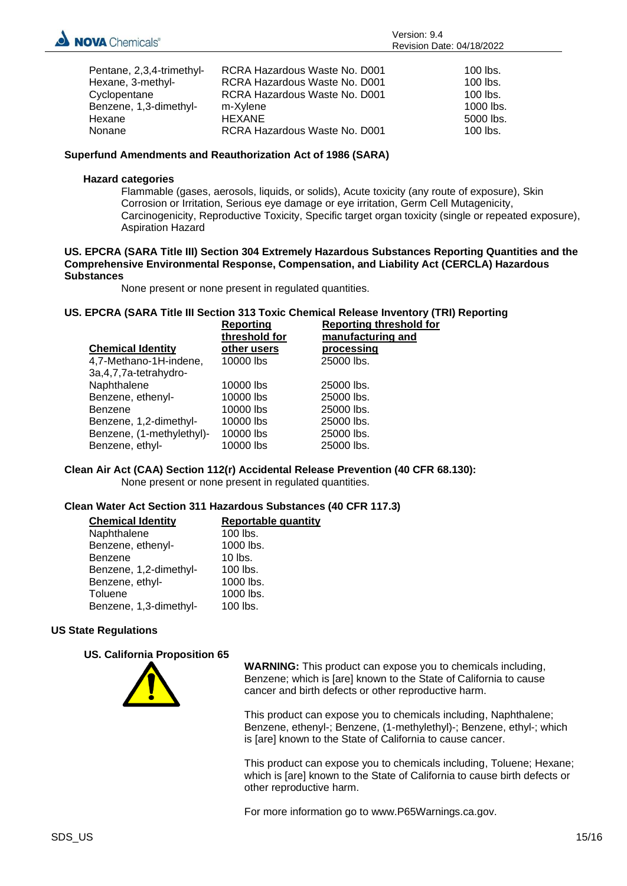

| Pentane, 2,3,4-trimethyl- | RCRA Hazardous Waste No. D001 | $100$ lbs. |
|---------------------------|-------------------------------|------------|
| Hexane, 3-methyl-         | RCRA Hazardous Waste No. D001 | $100$ lbs. |
| Cyclopentane              | RCRA Hazardous Waste No. D001 | $100$ lbs. |
| Benzene, 1,3-dimethyl-    | m-Xylene                      | 1000 lbs.  |
| Hexane                    | HEXANE                        | 5000 lbs.  |
| Nonane                    | RCRA Hazardous Waste No. D001 | $100$ lbs. |

#### **Superfund Amendments and Reauthorization Act of 1986 (SARA)**

#### **Hazard categories**

Flammable (gases, aerosols, liquids, or solids), Acute toxicity (any route of exposure), Skin Corrosion or Irritation, Serious eye damage or eye irritation, Germ Cell Mutagenicity, Carcinogenicity, Reproductive Toxicity, Specific target organ toxicity (single or repeated exposure), Aspiration Hazard

#### **US. EPCRA (SARA Title III) Section 304 Extremely Hazardous Substances Reporting Quantities and the Comprehensive Environmental Response, Compensation, and Liability Act (CERCLA) Hazardous Substances**

None present or none present in regulated quantities.

#### **US. EPCRA (SARA Title III Section 313 Toxic Chemical Release Inventory (TRI) Reporting**

|                           | <b>Reporting</b><br>threshold for | <b>Reporting threshold for</b><br>manufacturing and |
|---------------------------|-----------------------------------|-----------------------------------------------------|
| <b>Chemical Identity</b>  | other users                       | <u>processing</u>                                   |
| 4,7-Methano-1H-indene,    | 10000 lbs                         | 25000 lbs.                                          |
| 3a, 4, 7, 7a-tetrahydro-  |                                   |                                                     |
| Naphthalene               | 10000 lbs                         | 25000 lbs.                                          |
| Benzene, ethenyl-         | 10000 lbs                         | 25000 lbs.                                          |
| <b>Benzene</b>            | 10000 lbs                         | 25000 lbs.                                          |
| Benzene, 1,2-dimethyl-    | 10000 lbs                         | 25000 lbs.                                          |
| Benzene, (1-methylethyl)- | 10000 lbs                         | 25000 lbs.                                          |
| Benzene, ethyl-           | 10000 lbs                         | 25000 lbs.                                          |

### **Clean Air Act (CAA) Section 112(r) Accidental Release Prevention (40 CFR 68.130):**

None present or none present in regulated quantities.

#### **Clean Water Act Section 311 Hazardous Substances (40 CFR 117.3)**

| <b>Chemical Identity</b> | <b>Reportable quantity</b> |
|--------------------------|----------------------------|
| Naphthalene              | $100$ lbs.                 |
| Benzene, ethenyl-        | 1000 lbs.                  |
| Benzene                  | $10$ lbs.                  |
| Benzene, 1,2-dimethyl-   | 100 lbs.                   |
| Benzene, ethyl-          | 1000 lbs.                  |
| Toluene                  | 1000 lbs.                  |
| Benzene, 1,3-dimethyl-   | 100 lbs.                   |

#### **US State Regulations**

#### **US. California Proposition 65**



**WARNING:** This product can expose you to chemicals including, Benzene; which is [are] known to the State of California to cause cancer and birth defects or other reproductive harm.

This product can expose you to chemicals including, Naphthalene; Benzene, ethenyl-; Benzene, (1-methylethyl)-; Benzene, ethyl-; which is [are] known to the State of California to cause cancer.

This product can expose you to chemicals including, Toluene; Hexane; which is [are] known to the State of California to cause birth defects or other reproductive harm.

For more information go to www.P65Warnings.ca.gov.